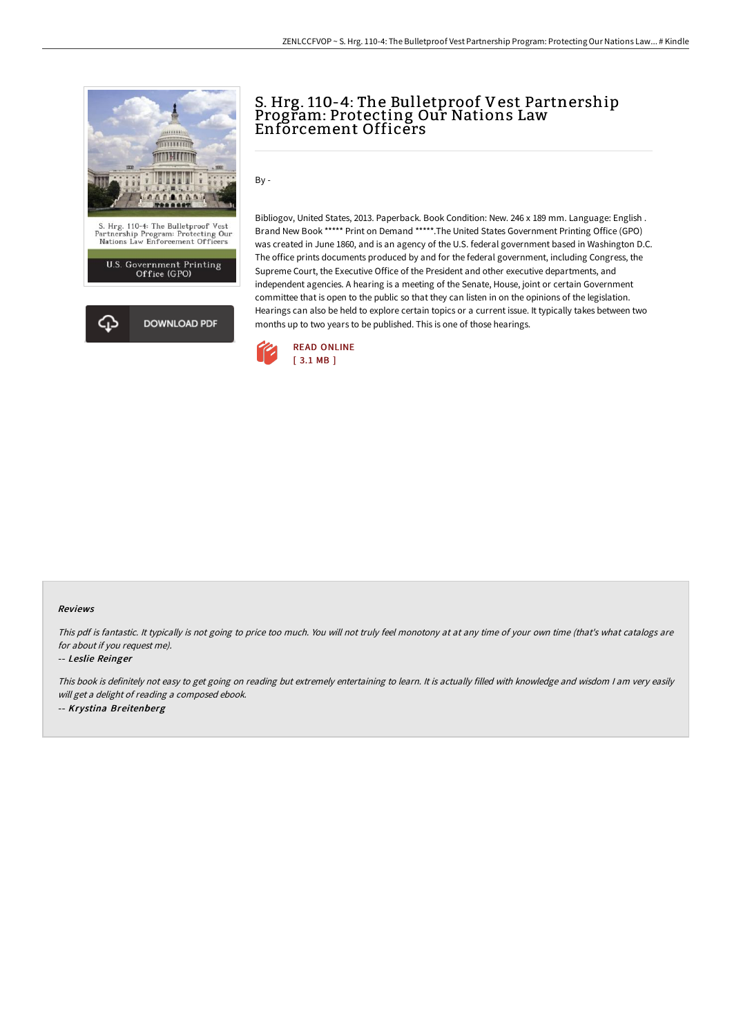

## S. Hrg. 110-4: The Bulletproof Vest Partnership Program: Protecting Our Nations Law Enforcement Officers

By -

Bibliogov, United States, 2013. Paperback. Book Condition: New. 246 x 189 mm. Language: English . Brand New Book \*\*\*\*\* Print on Demand \*\*\*\*\*.The United States Government Printing Office (GPO) was created in June 1860, and is an agency of the U.S. federal government based in Washington D.C. The office prints documents produced by and for the federal government, including Congress, the Supreme Court, the Executive Office of the President and other executive departments, and independent agencies. A hearing is a meeting of the Senate, House, joint or certain Government committee that is open to the public so that they can listen in on the opinions of the legislation. Hearings can also be held to explore certain topics or a current issue. It typically takes between two months up to two years to be published. This is one of those hearings.



#### Reviews

This pdf is fantastic. It typically is not going to price too much. You will not truly feel monotony at at any time of your own time (that's what catalogs are for about if you request me).

#### -- Leslie Reinger

This book is definitely not easy to get going on reading but extremely entertaining to learn. It is actually filled with knowledge and wisdom <sup>I</sup> am very easily will get <sup>a</sup> delight of reading <sup>a</sup> composed ebook. -- Krystina Breitenberg